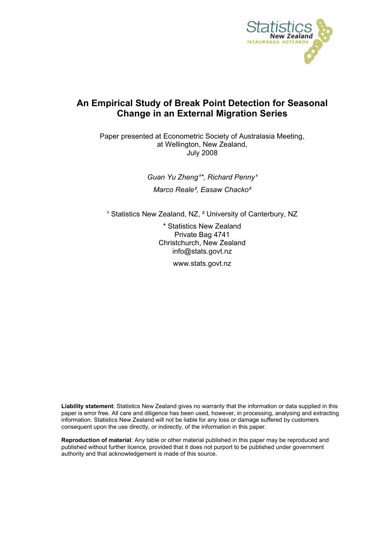

# **An Empirical Study of Break Point Detection for Seasonal Change in an External Migration Series**

Paper presented at Econometric Society of Australasia Meeting, at Wellington, New Zealand, July 2008

> Guan Yu Zheng<sup>1\*</sup>, Richard Penny<sup>1</sup> *Marco Reale², Easaw Chacko²*

<sup>1</sup> Statistics New Zealand, NZ, <sup>2</sup> University of Canterbury, NZ

\* Statistics New Zealand Private Bag 4741 Christchurch, New Zealand info@stats.govt.nz

www.stats.govt.nz

**Liability statement**: Statistics New Zealand gives no warranty that the information or data supplied in this paper is error free. All care and diligence has been used, however, in processing, analysing and extracting information. Statistics New Zealand will not be liable for any loss or damage suffered by customers consequent upon the use directly, or indirectly, of the information in this paper.

**Reproduction of material**: Any table or other material published in this paper may be reproduced and published without further licence, provided that it does not purport to be published under government authority and that acknowledgement is made of this source.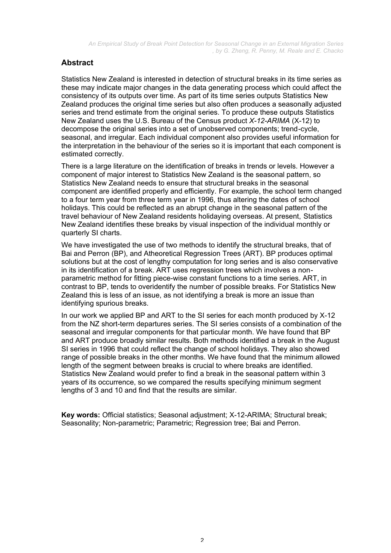# **Abstract**

Statistics New Zealand is interested in detection of structural breaks in its time series as these may indicate major changes in the data generating process which could affect the consistency of its outputs over time. As part of its time series outputs Statistics New Zealand produces the original time series but also often produces a seasonally adjusted series and trend estimate from the original series. To produce these outputs Statistics New Zealand uses the U.S. Bureau of the Census product *X-12-ARIMA* (X-12) to decompose the original series into a set of unobserved components; trend-cycle, seasonal, and irregular. Each individual component also provides useful information for the interpretation in the behaviour of the series so it is important that each component is estimated correctly.

There is a large literature on the identification of breaks in trends or levels. However a component of major interest to Statistics New Zealand is the seasonal pattern, so Statistics New Zealand needs to ensure that structural breaks in the seasonal component are identified properly and efficiently. For example, the school term changed to a four term year from three term year in 1996, thus altering the dates of school holidays. This could be reflected as an abrupt change in the seasonal pattern of the travel behaviour of New Zealand residents holidaying overseas. At present, Statistics New Zealand identifies these breaks by visual inspection of the individual monthly or quarterly SI charts.

We have investigated the use of two methods to identify the structural breaks, that of Bai and Perron (BP), and Atheoretical Regression Trees (ART). BP produces optimal solutions but at the cost of lengthy computation for long series and is also conservative in its identification of a break. ART uses regression trees which involves a nonparametric method for fitting piece-wise constant functions to a time series. ART, in contrast to BP, tends to overidentify the number of possible breaks. For Statistics New Zealand this is less of an issue, as not identifying a break is more an issue than identifying spurious breaks.

In our work we applied BP and ART to the SI series for each month produced by X-12 from the NZ short-term departures series. The SI series consists of a combination of the seasonal and irregular components for that particular month. We have found that BP and ART produce broadly similar results. Both methods identified a break in the August SI series in 1996 that could reflect the change of school holidays. They also showed range of possible breaks in the other months. We have found that the minimum allowed length of the segment between breaks is crucial to where breaks are identified. Statistics New Zealand would prefer to find a break in the seasonal pattern within 3 years of its occurrence, so we compared the results specifying minimum segment lengths of 3 and 10 and find that the results are similar.

**Key words:** Official statistics; Seasonal adjustment; X-12-ARIMA; Structural break; Seasonality; Non-parametric; Parametric; Regression tree; Bai and Perron.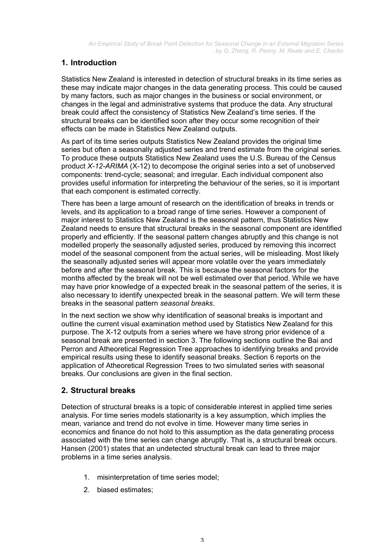# **1. Introduction**

Statistics New Zealand is interested in detection of structural breaks in its time series as these may indicate major changes in the data generating process. This could be caused by many factors, such as major changes in the business or social environment, or changes in the legal and administrative systems that produce the data. Any structural break could affect the consistency of Statistics New Zealand's time series. If the structural breaks can be identified soon after they occur some recognition of their effects can be made in Statistics New Zealand outputs.

As part of its time series outputs Statistics New Zealand provides the original time series but often a seasonally adjusted series and trend estimate from the original series. To produce these outputs Statistics New Zealand uses the U.S. Bureau of the Census product *X-12-ARIMA* (X-12) to decompose the original series into a set of unobserved components: trend-cycle; seasonal; and irregular. Each individual component also provides useful information for interpreting the behaviour of the series, so it is important that each component is estimated correctly.

There has been a large amount of research on the identification of breaks in trends or levels, and its application to a broad range of time series. However a component of major interest to Statistics New Zealand is the seasonal pattern, thus Statistics New Zealand needs to ensure that structural breaks in the seasonal component are identified properly and efficiently. If the seasonal pattern changes abruptly and this change is not modelled properly the seasonally adjusted series, produced by removing this incorrect model of the seasonal component from the actual series, will be misleading. Most likely the seasonally adjusted series will appear more volatile over the years immediately before and after the seasonal break. This is because the seasonal factors for the months affected by the break will not be well estimated over that period. While we have may have prior knowledge of a expected break in the seasonal pattern of the series, it is also necessary to identify unexpected break in the seasonal pattern. We will term these breaks in the seasonal pattern *seasonal breaks*.

In the next section we show why identification of seasonal breaks is important and outline the current visual examination method used by Statistics New Zealand for this purpose. The X-12 outputs from a series where we have strong prior evidence of a seasonal break are presented in section 3. The following sections outline the Bai and Perron and Atheoretical Regression Tree approaches to identifying breaks and provide empirical results using these to identify seasonal breaks. Section 6 reports on the application of Atheoretical Regression Trees to two simulated series with seasonal breaks. Our conclusions are given in the final section.

# **2. Structural breaks**

Detection of structural breaks is a topic of considerable interest in applied time series analysis. For time series models stationarity is a key assumption, which implies the mean, variance and trend do not evolve in time. However many time series in economics and finance do not hold to this assumption as the data generating process associated with the time series can change abruptly. That is, a structural break occurs. Hansen (2001) states that an undetected structural break can lead to three major problems in a time series analysis.

- 1. misinterpretation of time series model;
- 2. biased estimates;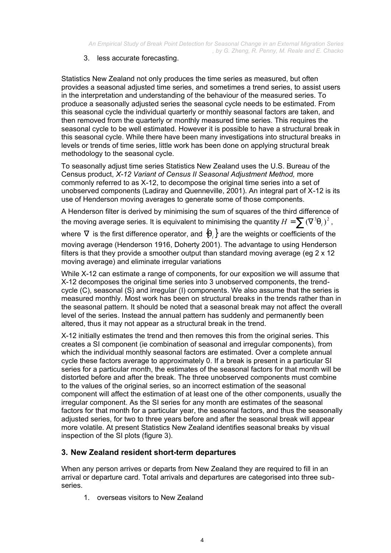## 3. less accurate forecasting.

Statistics New Zealand not only produces the time series as measured, but often provides a seasonal adjusted time series, and sometimes a trend series, to assist users in the interpretation and understanding of the behaviour of the measured series. To produce a seasonally adjusted series the seasonal cycle needs to be estimated. From this seasonal cycle the individual quarterly or monthly seasonal factors are taken, and then removed from the quarterly or monthly measured time series. This requires the seasonal cycle to be well estimated. However it is possible to have a structural break in this seasonal cycle. While there have been many investigations into structural breaks in levels or trends of time series, little work has been done on applying structural break methodology to the seasonal cycle.

To seasonally adjust time series Statistics New Zealand uses the U.S. Bureau of the Census product, *X-12 Variant of Census II Seasonal Adjustment Method,* more commonly referred to as X-12, to decompose the original time series into a set of unobserved components (Ladiray and Quenneville, 2001). An integral part of X-12 is its use of Henderson moving averages to generate some of those components.

A Henderson filter is derived by minimising the sum of squares of the third difference of the moving average series. It is equivalent to minimising the quantity  $H = \sum (\nabla^3 \mathsf{q}_i)^2$  ,

where  $∇$  is the first difference operator, and  ${q_i}$  are the weights or coefficients of the moving average (Henderson 1916, Doherty 2001). The advantage to using Henderson filters is that they provide a smoother output than standard moving average (eg 2 x 12 moving average) and eliminate irregular variations

While X-12 can estimate a range of components, for our exposition we will assume that X-12 decomposes the original time series into 3 unobserved components, the trendcycle (C), seasonal (S) and irregular (I) components. We also assume that the series is measured monthly. Most work has been on structural breaks in the trends rather than in the seasonal pattern. It should be noted that a seasonal break may not affect the overall level of the series. Instead the annual pattern has suddenly and permanently been altered, thus it may not appear as a structural break in the trend.

X-12 initially estimates the trend and then removes this from the original series. This creates a SI component (ie combination of seasonal and irregular components), from which the individual monthly seasonal factors are estimated. Over a complete annual cycle these factors average to approximately 0. If a break is present in a particular SI series for a particular month, the estimates of the seasonal factors for that month will be distorted before and after the break. The three unobserved components must combine to the values of the original series, so an incorrect estimation of the seasonal component will affect the estimation of at least one of the other components, usually the irregular component. As the SI series for any month are estimates of the seasonal factors for that month for a particular year, the seasonal factors, and thus the seasonally adjusted series, for two to three years before and after the seasonal break will appear more volatile. At present Statistics New Zealand identifies seasonal breaks by visual inspection of the SI plots (figure 3).

# **3. New Zealand resident short-term departures**

When any person arrives or departs from New Zealand they are required to fill in an arrival or departure card. Total arrivals and departures are categorised into three subseries.

1. overseas visitors to New Zealand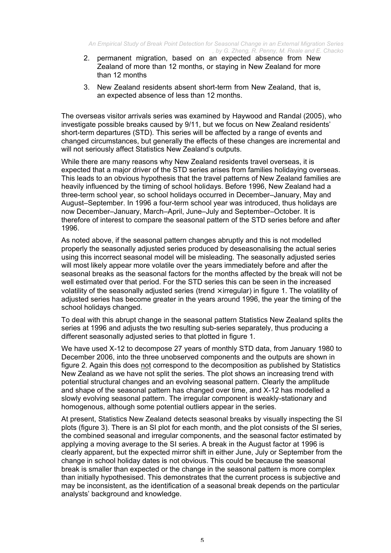- 2. permanent migration, based on an expected absence from New Zealand of more than 12 months, or staying in New Zealand for more than 12 months
- 3. New Zealand residents absent short-term from New Zealand, that is, an expected absence of less than 12 months.

The overseas visitor arrivals series was examined by Haywood and Randal (2005), who investigate possible breaks caused by 9/11, but we focus on New Zealand residents' short-term departures (STD). This series will be affected by a range of events and changed circumstances, but generally the effects of these changes are incremental and will not seriously affect Statistics New Zealand's outputs.

While there are many reasons why New Zealand residents travel overseas, it is expected that a major driver of the STD series arises from families holidaying overseas. This leads to an obvious hypothesis that the travel patterns of New Zealand families are heavily influenced by the timing of school holidays. Before 1996, New Zealand had a three-term school year, so school holidays occurred in December–January, May and August–September. In 1996 a four-term school year was introduced, thus holidays are now December–January, March–April, June–July and September–October. It is therefore of interest to compare the seasonal pattern of the STD series before and after 1996.

As noted above, if the seasonal pattern changes abruptly and this is not modelled properly the seasonally adjusted series produced by deseasonalising the actual series using this incorrect seasonal model will be misleading. The seasonally adjusted series will most likely appear more volatile over the years immediately before and after the seasonal breaks as the seasonal factors for the months affected by the break will not be well estimated over that period. For the STD series this can be seen in the increased volatility of the seasonally adjusted series (trend  $\times$  irregular) in figure 1. The volatility of adjusted series has become greater in the years around 1996, the year the timing of the school holidays changed.

To deal with this abrupt change in the seasonal pattern Statistics New Zealand splits the series at 1996 and adjusts the two resulting sub-series separately, thus producing a different seasonally adjusted series to that plotted in figure 1.

We have used X-12 to decompose 27 years of monthly STD data, from January 1980 to December 2006, into the three unobserved components and the outputs are shown in figure 2. Again this does not correspond to the decomposition as published by Statistics New Zealand as we have not split the series. The plot shows an increasing trend with potential structural changes and an evolving seasonal pattern. Clearly the amplitude and shape of the seasonal pattern has changed over time, and X-12 has modelled a slowly evolving seasonal pattern. The irregular component is weakly-stationary and homogenous, although some potential outliers appear in the series.

At present, Statistics New Zealand detects seasonal breaks by visually inspecting the SI plots (figure 3). There is an SI plot for each month, and the plot consists of the SI series, the combined seasonal and irregular components, and the seasonal factor estimated by applying a moving average to the SI series. A break in the August factor at 1996 is clearly apparent, but the expected mirror shift in either June, July or September from the change in school holiday dates is not obvious. This could be because the seasonal break is smaller than expected or the change in the seasonal pattern is more complex than initially hypothesised. This demonstrates that the current process is subjective and may be inconsistent, as the identification of a seasonal break depends on the particular analysts' background and knowledge.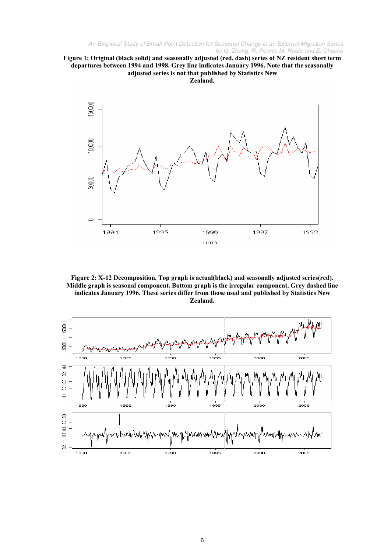



**Figure 2: X-12 Decomposition. Top graph is actual(black) and seasonally adjusted series(red). Middle graph is seasonal component. Bottom graph is the irregular component. Grey dashed line indicates January 1996. These series differ from those used and published by Statistics New Zealand.**

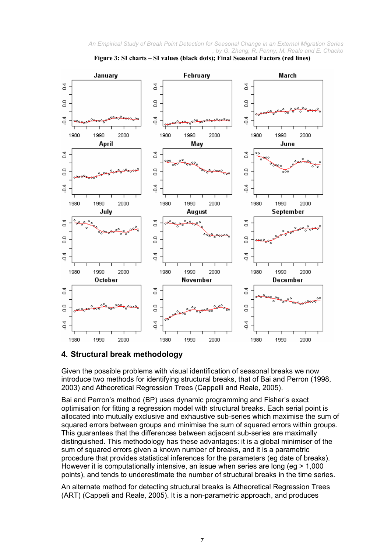



## **4. Structural break methodology**

Given the possible problems with visual identification of seasonal breaks we now introduce two methods for identifying structural breaks, that of Bai and Perron (1998, 2003) and Atheoretical Regression Trees (Cappelli and Reale, 2005).

Bai and Perron's method (BP) uses dynamic programming and Fisher's exact optimisation for fitting a regression model with structural breaks. Each serial point is allocated into mutually exclusive and exhaustive sub-series which maximise the sum of squared errors between groups and minimise the sum of squared errors within groups. This guarantees that the differences between adjacent sub-series are maximally distinguished. This methodology has these advantages: it is a global minimiser of the sum of squared errors given a known number of breaks, and it is a parametric procedure that provides statistical inferences for the parameters (eg date of breaks). However it is computationally intensive, an issue when series are long (eg > 1,000 points), and tends to underestimate the number of structural breaks in the time series.

An alternate method for detecting structural breaks is Atheoretical Regression Trees (ART) (Cappeli and Reale, 2005). It is a non-parametric approach, and produces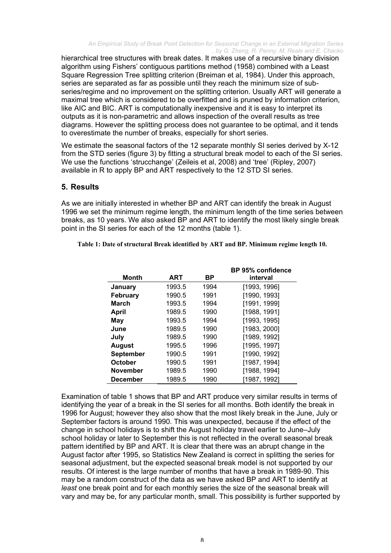hierarchical tree structures with break dates. It makes use of a recursive binary division algorithm using Fishers' contiguous partitions method (1958) combined with a Least Square Regression Tree splitting criterion (Breiman et al, 1984). Under this approach, series are separated as far as possible until they reach the minimum size of subseries/regime and no improvement on the splitting criterion. Usually ART will generate a maximal tree which is considered to be overfitted and is pruned by information criterion, like AIC and BIC. ART is computationally inexpensive and it is easy to interpret its outputs as it is non-parametric and allows inspection of the overall results as tree diagrams. However the splitting process does not guarantee to be optimal, and it tends to overestimate the number of breaks, especially for short series.

We estimate the seasonal factors of the 12 separate monthly SI series derived by X-12 from the STD series (figure 3) by fitting a structural break model to each of the SI series. We use the functions 'strucchange' (Zeileis et al, 2008) and 'tree' (Ripley, 2007) available in R to apply BP and ART respectively to the 12 STD SI series.

## **5. Results**

As we are initially interested in whether BP and ART can identify the break in August 1996 we set the minimum regime length, the minimum length of the time series between breaks, as 10 years. We also asked BP and ART to identify the most likely single break point in the SI series for each of the 12 months (table 1).

| Table 1: Date of structural Break identified by ART and BP. Minimum regime length 10. |  |  |
|---------------------------------------------------------------------------------------|--|--|
|                                                                                       |  |  |
|                                                                                       |  |  |

| <b>Month</b>     | ART    | ВP   | BP 95% confidence<br>interval |
|------------------|--------|------|-------------------------------|
| January          | 1993.5 | 1994 | [1993, 1996]                  |
| February         | 1990.5 | 1991 | [1990, 1993]                  |
| March            | 1993.5 | 1994 | [1991, 1999]                  |
| <b>April</b>     | 1989.5 | 1990 | [1988, 1991]                  |
| May              | 1993.5 | 1994 | [1993, 1995]                  |
| June             | 1989.5 | 1990 | [1983, 2000]                  |
| July             | 1989.5 | 1990 | [1989, 1992]                  |
| <b>August</b>    | 1995.5 | 1996 | [1995, 1997]                  |
| <b>September</b> | 1990.5 | 1991 | [1990, 1992]                  |
| October          | 1990.5 | 1991 | [1987, 1994]                  |
| <b>November</b>  | 1989.5 | 1990 | [1988, 1994]                  |
| <b>December</b>  | 1989.5 | 1990 | [1987, 1992]                  |

Examination of table 1 shows that BP and ART produce very similar results in terms of identifying the year of a break in the SI series for all months. Both identify the break in 1996 for August; however they also show that the most likely break in the June, July or September factors is around 1990. This was unexpected, because if the effect of the change in school holidays is to shift the August holiday travel earlier to June–July school holiday or later to September this is not reflected in the overall seasonal break pattern identified by BP and ART. It is clear that there was an abrupt change in the August factor after 1995, so Statistics New Zealand is correct in splitting the series for seasonal adjustment, but the expected seasonal break model is not supported by our results. Of interest is the large number of months that have a break in 1989-90. This may be a random construct of the data as we have asked BP and ART to identify at *least* one break point and for each monthly series the size of the seasonal break will vary and may be, for any particular month, small. This possibility is further supported by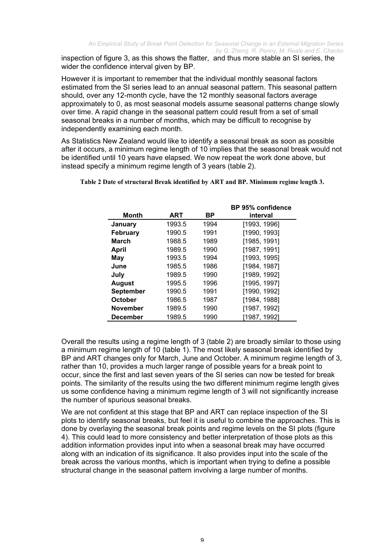inspection of figure 3, as this shows the flatter, and thus more stable an SI series, the wider the confidence interval given by BP.

However it is important to remember that the individual monthly seasonal factors estimated from the SI series lead to an annual seasonal pattern. This seasonal pattern should, over any 12-month cycle, have the 12 monthly seasonal factors average approximately to 0, as most seasonal models assume seasonal patterns change slowly over time. A rapid change in the seasonal pattern could result from a set of small seasonal breaks in a number of months, which may be difficult to recognise by independently examining each month.

As Statistics New Zealand would like to identify a seasonal break as soon as possible after it occurs, a minimum regime length of 10 implies that the seasonal break would not be identified until 10 years have elapsed. We now repeat the work done above, but instead specify a minimum regime length of 3 years (table 2).

|                  |        |      | <b>BP 95% confidence</b> |
|------------------|--------|------|--------------------------|
| <b>Month</b>     | ART    | ВP   | interval                 |
| January          | 1993.5 | 1994 | [1993, 1996]             |
| <b>February</b>  | 1990.5 | 1991 | [1990, 1993]             |
| <b>March</b>     | 1988.5 | 1989 | [1985, 1991]             |
| <b>April</b>     | 1989.5 | 1990 | [1987, 1991]             |
| May              | 1993.5 | 1994 | [1993, 1995]             |
| June             | 1985.5 | 1986 | [1984, 1987]             |
| July             | 1989.5 | 1990 | [1989, 1992]             |
| <b>August</b>    | 1995.5 | 1996 | [1995, 1997]             |
| <b>September</b> | 1990.5 | 1991 | [1990, 1992]             |
| <b>October</b>   | 1986.5 | 1987 | [1984, 1988]             |
| <b>November</b>  | 1989.5 | 1990 | [1987, 1992]             |
| <b>December</b>  | 1989.5 | 1990 | [1987, 1992]             |

**Table 2 Date of structural Break identified by ART and BP. Minimum regime length 3.**

 $\frac{1}{2}$   $\frac{1}{2}$   $\frac{1}{2}$   $\frac{1}{2}$   $\frac{1}{2}$   $\frac{1}{2}$   $\frac{1}{2}$   $\frac{1}{2}$   $\frac{1}{2}$   $\frac{1}{2}$   $\frac{1}{2}$   $\frac{1}{2}$   $\frac{1}{2}$   $\frac{1}{2}$   $\frac{1}{2}$   $\frac{1}{2}$   $\frac{1}{2}$   $\frac{1}{2}$   $\frac{1}{2}$   $\frac{1}{2}$   $\frac{1}{2}$   $\frac{1}{2}$ 

Overall the results using a regime length of 3 (table 2) are broadly similar to those using a minimum regime length of 10 (table 1). The most likely seasonal break identified by BP and ART changes only for March, June and October. A minimum regime length of 3, rather than 10, provides a much larger range of possible years for a break point to occur, since the first and last seven years of the SI series can now be tested for break points. The similarity of the results using the two different minimum regime length gives us some confidence having a minimum regime length of 3 will not significantly increase the number of spurious seasonal breaks.

We are not confident at this stage that BP and ART can replace inspection of the SI plots to identify seasonal breaks, but feel it is useful to combine the approaches. This is done by overlaying the seasonal break points and regime levels on the SI plots (figure 4). This could lead to more consistency and better interpretation of those plots as this addition information provides input into when a seasonal break may have occurred along with an indication of its significance. It also provides input into the scale of the break across the various months, which is important when trying to define a possible structural change in the seasonal pattern involving a large number of months.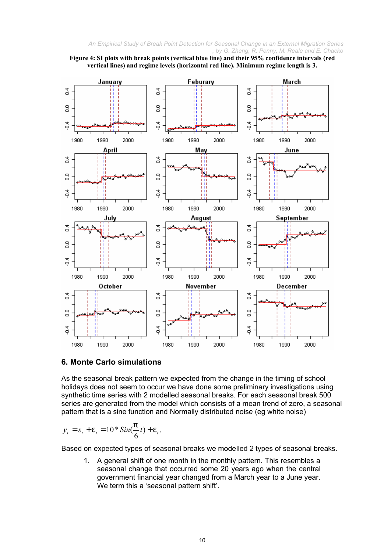



## **6. Monte Carlo simulations**

As the seasonal break pattern we expected from the change in the timing of school holidays does not seem to occur we have done some preliminary investigations using synthetic time series with 2 modelled seasonal breaks. For each seasonal break 500 series are generated from the model which consists of a mean trend of zero, a seasonal pattern that is a sine function and Normally distributed noise (eg white noise)

$$
y_t = s_t + e_t = 10 * Sin(\frac{p}{6}t) + e_t,
$$

Based on expected types of seasonal breaks we modelled 2 types of seasonal breaks.

1. A general shift of one month in the monthly pattern. This resembles a seasonal change that occurred some 20 years ago when the central government financial year changed from a March year to a June year. We term this a 'seasonal pattern shift'.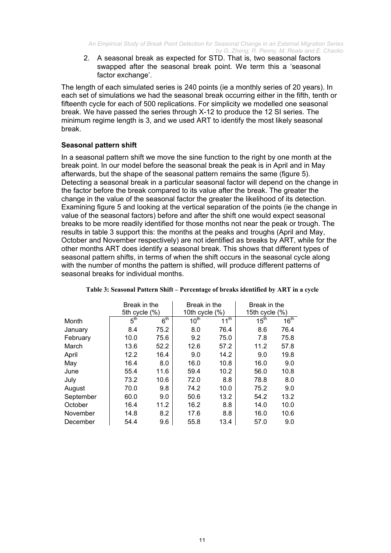2. A seasonal break as expected for STD. That is, two seasonal factors swapped after the seasonal break point. We term this a 'seasonal factor exchange'.

The length of each simulated series is 240 points (ie a monthly series of 20 years). In each set of simulations we had the seasonal break occurring either in the fifth, tenth or fifteenth cycle for each of 500 replications. For simplicity we modelled one seasonal break. We have passed the series through X-12 to produce the 12 SI series. The minimum regime length is 3, and we used ART to identify the most likely seasonal break.

## **Seasonal pattern shift**

In a seasonal pattern shift we move the sine function to the right by one month at the break point. In our model before the seasonal break the peak is in April and in May afterwards, but the shape of the seasonal pattern remains the same (figure 5). Detecting a seasonal break in a particular seasonal factor will depend on the change in the factor before the break compared to its value after the break. The greater the change in the value of the seasonal factor the greater the likelihood of its detection. Examining figure 5 and looking at the vertical separation of the points (ie the change in value of the seasonal factors) before and after the shift one would expect seasonal breaks to be more readily identified for those months not near the peak or trough. The results in table 3 support this: the months at the peaks and troughs (April and May, October and November respectively) are not identified as breaks by ART, while for the other months ART does identify a seasonal break. This shows that different types of seasonal pattern shifts, in terms of when the shift occurs in the seasonal cycle along with the number of months the pattern is shifted, will produce different patterns of seasonal breaks for individual months.

|           | Break in the    |                 | Break in the         |                  | Break in the<br>15th cycle $(\%)$ |                  |
|-----------|-----------------|-----------------|----------------------|------------------|-----------------------------------|------------------|
|           | 5th cycle (%)   |                 | 10th cycle $(\%)$    |                  |                                   |                  |
| Month     | 5 <sup>th</sup> | 6 <sup>th</sup> | $10^{\overline{th}}$ | 11 <sup>th</sup> | 15 <sup>th</sup>                  | 16 <sup>th</sup> |
| January   | 8.4             | 75.2            | 8.0                  | 76.4             | 8.6                               | 76.4             |
| February  | 10.0            | 75.6            | 9.2                  | 75.0             | 7.8                               | 75.8             |
| March     | 13.6            | 52.2            | 12.6                 | 57.2             | 11.2                              | 57.8             |
| April     | 12.2            | 16.4            | 9.0                  | 14.2             | 9.0                               | 19.8             |
| May       | 16.4            | 8.0             | 16.0                 | 10.8             | 16.0                              | 9.0              |
| June      | 55.4            | 11.6            | 59.4                 | 10.2             | 56.0                              | 10.8             |
| July      | 73.2            | 10.6            | 72.0                 | 8.8              | 78.8                              | 8.0              |
| August    | 70.0            | 9.8             | 74.2                 | 10.0             | 75.2                              | 9.0              |
| September | 60.0            | 9.0             | 50.6                 | 13.2             | 54.2                              | 13.2             |
| October   | 16.4            | 11.2            | 16.2                 | 8.8              | 14.0                              | 10.0             |
| November  | 14.8            | 8.2             | 17.6                 | 8.8              | 16.0                              | 10.6             |
| December  | 54.4            | 9.6             | 55.8                 | 13.4             | 57.0                              | 9.0              |

#### **Table 3: Seasonal Pattern Shift – Percentage of breaks identified by ART in a cycle**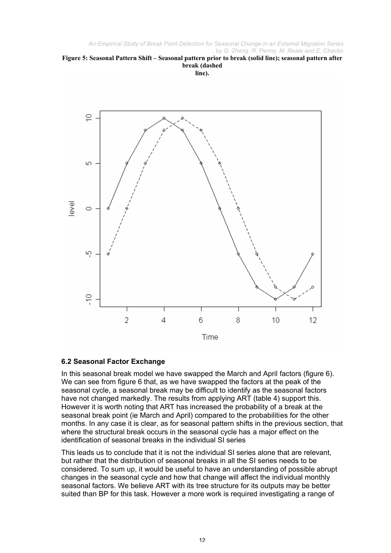



# **6.2 Seasonal Factor Exchange**

In this seasonal break model we have swapped the March and April factors (figure 6). We can see from figure 6 that, as we have swapped the factors at the peak of the seasonal cycle, a seasonal break may be difficult to identify as the seasonal factors have not changed markedly. The results from applying ART (table 4) support this. However it is worth noting that ART has increased the probability of a break at the seasonal break point (ie March and April) compared to the probabilities for the other months. In any case it is clear, as for seasonal pattern shifts in the previous section, that where the structural break occurs in the seasonal cycle has a major effect on the identification of seasonal breaks in the individual SI series

This leads us to conclude that it is not the individual SI series alone that are relevant, but rather that the distribution of seasonal breaks in all the SI series needs to be considered. To sum up, it would be useful to have an understanding of possible abrupt changes in the seasonal cycle and how that change will affect the individual monthly seasonal factors. We believe ART with its tree structure for its outputs may be better suited than BP for this task. However a more work is required investigating a range of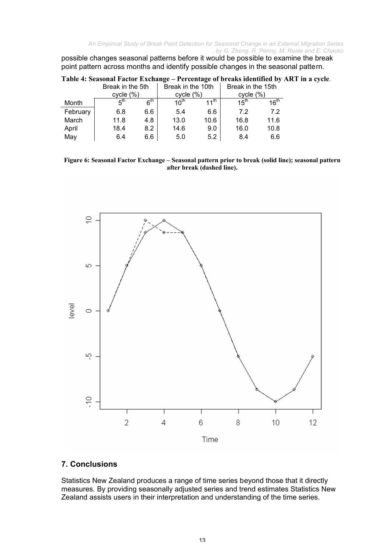possible changes seasonal patterns before it would be possible to examine the break point pattern across months and identify possible changes in the seasonal pattern.

|          | Break in the 10th<br>Break in the 5th |                 |                  | Break in the 15th |                  |                  |
|----------|---------------------------------------|-----------------|------------------|-------------------|------------------|------------------|
|          | cycle (%)                             |                 | cycle (%)        |                   | cycle (%)        |                  |
| Month    | 5 <sup>th</sup>                       | 6 <sup>th</sup> | 10 <sup>th</sup> | 11 <sup>th</sup>  | 15 <sup>th</sup> | 16 <sup>th</sup> |
| February | 6.8                                   | 6.6             | 5.4              | 6.6               | 7.2              | 7.2              |
| March    | 11.8                                  | 4.8             | 13.0             | 10.6              | 16.8             | 11.6             |
| April    | 18.4                                  | 8.2             | 14.6             | 9.0               | 16.0             | 10.8             |
| May      | 6.4                                   | 6.6             | 5.0              | 5.2               | 8.4              | 6.6              |

| Table 4: Seasonal Factor Exchange – Percentage of breaks identified by ART in a cycle. |  |  |  |  |  |  |
|----------------------------------------------------------------------------------------|--|--|--|--|--|--|
|----------------------------------------------------------------------------------------|--|--|--|--|--|--|

**Figure 6: Seasonal Factor Exchange – Seasonal pattern prior to break (solid line); seasonal pattern after break (dashed line).**



# **7. Conclusions**

Statistics New Zealand produces a range of time series beyond those that it directly measures. By providing seasonally adjusted series and trend estimates Statistics New Zealand assists users in their interpretation and understanding of the time series.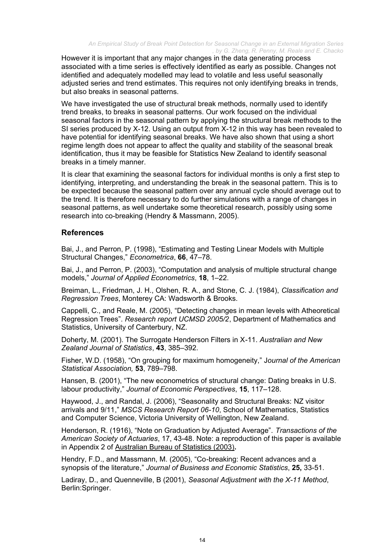However it is important that any major changes in the data generating process associated with a time series is effectively identified as early as possible. Changes not identified and adequately modelled may lead to volatile and less useful seasonally adjusted series and trend estimates. This requires not only identifying breaks in trends, but also breaks in seasonal patterns.

We have investigated the use of structural break methods, normally used to identify trend breaks, to breaks in seasonal patterns. Our work focused on the individual seasonal factors in the seasonal pattern by applying the structural break methods to the SI series produced by X-12. Using an output from X-12 in this way has been revealed to have potential for identifying seasonal breaks. We have also shown that using a short regime length does not appear to affect the quality and stability of the seasonal break identification, thus it may be feasible for Statistics New Zealand to identify seasonal breaks in a timely manner.

It is clear that examining the seasonal factors for individual months is only a first step to identifying, interpreting, and understanding the break in the seasonal pattern. This is to be expected because the seasonal pattern over any annual cycle should average out to the trend. It is therefore necessary to do further simulations with a range of changes in seasonal patterns, as well undertake some theoretical research, possibly using some research into co-breaking (Hendry & Massmann, 2005).

## **References**

Bai, J., and Perron, P. (1998), "Estimating and Testing Linear Models with Multiple Structural Changes," *Econometrica*, **66**, 47–78.

Bai, J., and Perron, P. (2003), "Computation and analysis of multiple structural change models," *Journal of Applied Econometrics*, **18**, 1–22.

Breiman, L., Friedman, J. H., Olshen, R. A., and Stone, C. J. (1984), *Classification and Regression Trees*, Monterey CA: Wadsworth & Brooks.

Cappelli, C., and Reale, M. (2005), "Detecting changes in mean levels with Atheoretical Regression Trees". *Research report UCMSD 2005/2*, Department of Mathematics and Statistics, University of Canterbury, NZ.

Doherty, M. (2001). The Surrogate Henderson Filters in X-11. *Australian and New Zealand Journal of Statistics*, **43**, 385–392.

Fisher, W.D. (1958), "On grouping for maximum homogeneity," J*ournal of the American Statistical Association,* **53**, 789–798.

Hansen, B. (2001), "The new econometrics of structural change: Dating breaks in U.S. labour productivity," *Journal of Economic Perspectives*, **15**, 117–128.

Haywood, J., and Randal, J. (2006), "Seasonality and Structural Breaks: NZ visitor arrivals and 9/11," *MSCS Research Report 06-10*, School of Mathematics, Statistics and Computer Science, Victoria University of Wellington, New Zealand.

Henderson, R. (1916), "Note on Graduation by Adjusted Average". *Transactions of the American Society of Actuaries*, 17, 43-48. Note: a reproduction of this paper is available in Appendix 2 of Australian Bureau of Statistics (2003)**.**

Hendry, F.D., and Massmann, M. (2005), "Co-breaking: Recent advances and a synopsis of the literature," *Journal of Business and Economic Statistics*, **25,** 33-51.

Ladiray, D., and Quenneville, B (2001), *Seasonal Adjustment with the X-11 Method*, Berlin:Springer.